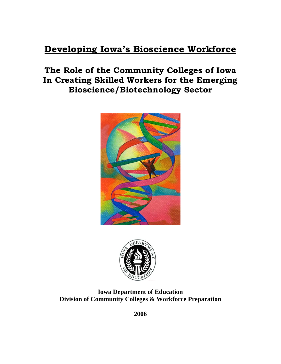# **Developing Iowa's Bioscience Workforce**

# **The Role of the Community Colleges of Iowa In Creating Skilled Workers for the Emerging Bioscience/Biotechnology Sector**





**Iowa Department of Education Division of Community Colleges & Workforce Preparation** 

**2006**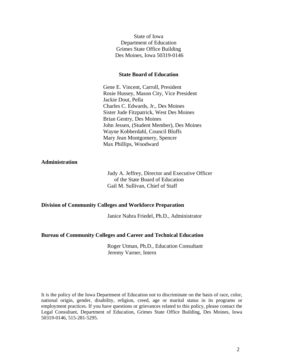State of Iowa Department of Education Grimes State Office Building Des Moines, Iowa 50319-0146

#### **State Board of Education**

Gene E. Vincent, Carroll, President Rosie Hussey, Mason City, Vice President Jackie Dout, Pella Charles C. Edwards, Jr., Des Moines Sister Jude Fitzpatrick, West Des Moines Brian Gentry, Des Moines John Jessen, (Student Member), Des Moines Wayne Kobberdahl, Council Bluffs Mary Jean Montgomery, Spencer Max Phillips, Woodward

#### **Administration**

Judy A. Jeffrey, Director and Executive Officer of the State Board of Education Gail M. Sullivan, Chief of Staff

#### **Division of Community Colleges and Workforce Preparation**

Janice Nahra Friedel, Ph.D., Administrator

#### **Bureau of Community Colleges and Career and Technical Education**

Roger Utman, Ph.D., Education Consultant Jeremy Varner, Intern

It is the policy of the Iowa Department of Education not to discriminate on the basis of race, color, national origin, gender, disability, religion, creed, age or marital status in its programs or employment practices. If you have questions or grievances related to this policy, please contact the Legal Consultant, Department of Education, Grimes State Office Building, Des Moines, Iowa 50319-0146, 515-281-5295.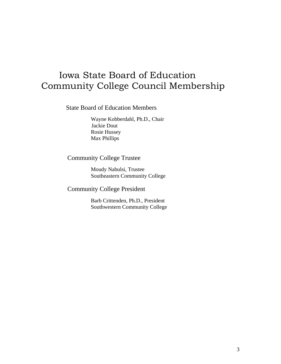# Iowa State Board of Education Community College Council Membership

State Board of Education Members

Wayne Kobberdahl, Ph.D., Chair Jackie Dout Rosie Hussey Max Phillips

## Community College Trustee

Moudy Nabulsi, Trustee Southeastern Community College

Community College President

Barb Crittenden, Ph.D., President Southwestern Community College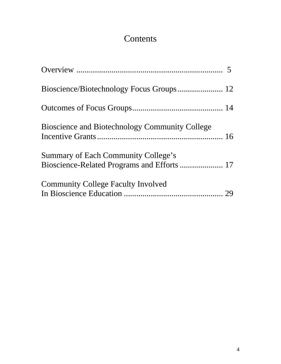# **Contents**

| <b>Bioscience and Biotechnology Community College</b> |  |
|-------------------------------------------------------|--|
| <b>Summary of Each Community College's</b>            |  |
| <b>Community College Faculty Involved</b>             |  |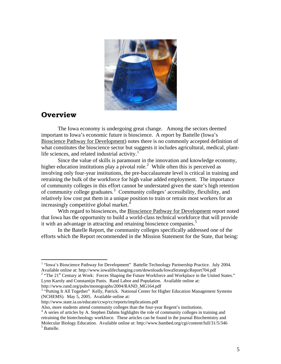

## **Overview**

 $\overline{a}$ 

 The Iowa economy is undergoing great change. Among the sectors deemed important to Iowa's economic future is bioscience. A report by Battelle (Iowa's Bioscience Pathway for Development) notes there is no commonly accepted definition of what constitutes the bioscience sector but suggests it includes agricultural, medical, plant-life sciences, and related industrial activity.<sup>[1](#page-4-0)</sup>

 Since the value of skills is paramount in the innovation and knowledge economy, higher education institutions play a pivotal role.<sup>[2](#page-4-1)</sup> While often this is perceived as involving only four-year institutions, the pre-baccalaureate level is critical in training and retraining the bulk of the workforce for high value added employment. The importance of community colleges in this effort cannot be understated given the state's high retention of community college graduates.<sup>[3](#page-4-2)</sup> Community colleges' accessibility, flexibility, and relatively low cost put them in a unique position to train or retrain most workers for an increasingly competitive global market.<sup>[4](#page-4-3)</sup>

With regard to biosciences, the Bioscience Pathway for Development report noted that Iowa has the opportunity to build a world-class technical workforce that will provide it with an advantage in attracting and retaining bioscience companies.<sup>[5](#page-4-4)</sup>

In the Batelle Report, the community colleges specifically addressed one of the efforts which the Report recommended in the Mission Statement for the State, that being:

http://www.rand.org/pubs/monographs/2004/RAND\_MG164.pdf 3

<span id="page-4-0"></span><sup>&</sup>lt;sup>1</sup> "Iowa's Bioscience Pathway for Development" Battelle Technology Partnership Practice. July 2004. Available online at: http://www.iowalifechanging.com/downloads/IowaStrategicReport704.pdf 2

<span id="page-4-1"></span><sup>&</sup>lt;sup>2</sup> "The 21<sup>st</sup> Century at Work: Forces Shaping the Future Workforce and Workplace in the United States." Lynn Karoly and Constantijn Panis. Rand Labor and Population. Available online at:

<span id="page-4-2"></span><sup>&</sup>lt;sup>3</sup> "Putting It All Together" Kelly, Patrick. National Center for Higher Education Management Systems (NCHEMS). May 5, 2005. Available online at:

http://www.state.ia.us/educate/ccwp/cc/reports/implications.pdf

Also, more students attend community colleges than the four-year Regent's institutions. 4

<span id="page-4-4"></span><span id="page-4-3"></span><sup>&</sup>lt;sup>4</sup> A series of articles by A. Stephen Dahms highlights the role of community colleges in training and retraining the biotechnology workforce. These articles can be found in the journal Biochemistry and Molecular Biology Education. Available online at: http://www.bambed.org/cgi/content/full/31/5/346 5 Battelle.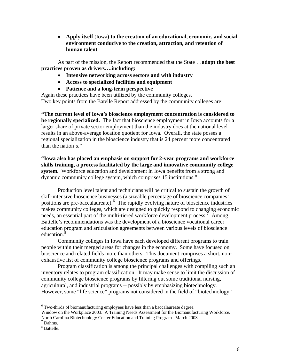• **Apply itself** (Iowa**) to the creation of an educational, economic, and social environment conducive to the creation, attraction, and retention of human talent** 

 As part of the mission, the Report recommended that the State …**adopt the best practices proven as drivers….including:** 

- **Intensive networking across sectors and with industry**
- **Access to specialized facilities and equipment**
- **Patience and a long-term perspective**

Again these practices have been utilized by the community colleges. Two key points from the Batelle Report addressed by the community colleges are:

**"The current level of Iowa's bioscience employment concentration is considered to be regionally specialized.** The fact that bioscience employment in Iowa accounts for a larger share of private sector employment than the industry does at the national level results in an above-average location quotient for Iowa. Overall, the state posses a regional specialization in the bioscience industry that is 24 percent more concentrated than the nation's."

**"Iowa also has placed an emphasis on support for 2-year programs and workforce skills training, a process facilitated by the large and innovative community college system.** Workforce education and development in Iowa benefits from a strong and dynamic community college system, which comprises 15 institutions."

Production level talent and technicians will be critical to sustain the growth of skill-intensive bioscience businesses (a sizeable percentage of bioscience companies' positions are pre-baccalaureate). <sup>[6](#page-5-0)</sup> The rapidly evolving nature of bioscience industries makes community colleges, which are designed to quickly respond to changing economic needs, an essential part of the multi-tiered workforce development process.<sup>[7](#page-5-1)</sup> Among Battelle's recommendations was the development of a bioscience vocational career education program and articulation agreements between various levels of bioscience education.<sup>[8](#page-5-2)</sup>

 Community colleges in Iowa have each developed different programs to train people within their merged areas for changes in the economy. Some have focused on bioscience and related fields more than others. This document comprises a short, nonexhaustive list of community college bioscience programs and offerings.

 Program classification is among the principal challenges with compiling such an inventory relates to program classification. It may make sense to limit the discussion of community college bioscience programs by filtering out some traditional nursing, agricultural, and industrial programs -- possibly by emphasizing biotechnology. However, some "life science" programs not considered in the field of "biotechnology"

 $\overline{a}$ 

<span id="page-5-0"></span> $6$  Two-thirds of biomanufacturing employees have less than a baccalaureate degree. Window on the Workplace 2003. A Training Needs Assessment for the Biomanufacturing Workforce. North Carolina Biotechnology Center Education and Training Program. March 2003.

<span id="page-5-1"></span><sup>7</sup> Dahms.

<span id="page-5-2"></span><sup>8</sup> Battelle.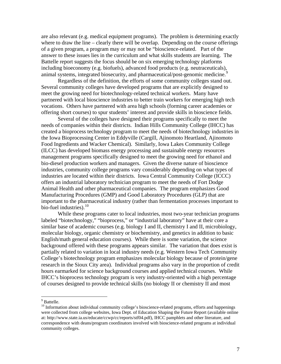are also relevant (e.g. medical equipment programs). The problem is determining exactly where to draw the line – clearly there will be overlap. Depending on the course offerings of a given program, a program may or may not be "bioscience-related. Part of the answer to these issues lies in the curriculum and what skills students are learning. The Battelle report suggests the focus should be on six emerging technology platforms including bioeconomy (e.g. biofuels), advanced food products (e.g. neutraceuticals), animal systems, integrated biosecurity, and pharmaceutical/post-genomic medicine.<sup>[9](#page-6-0)</sup>

 Regardless of the definition, the efforts of some community colleges stand out. Several community colleges have developed programs that are explicitly designed to meet the growing need for biotechnology-related technical workers. Many have partnered with local bioscience industries to better train workers for emerging high tech vocations. Others have partnered with area high schools (forming career academies or offering short courses) to spur students' interest and provide skills in bioscience fields.

Several of the colleges have designed their programs specifically to meet the needs of companies within their districts. Indian Hills Community College (IHCC) has created a bioprocess technology program to meet the needs of biotechnology industries in the Iowa Bioprocessing Center in Eddyville (Cargill, Ajinomoto Heartland, Ajinomoto Food Ingredients and Wacker Chemical). Similarly, Iowa Lakes Community College (ILCC) has developed biomass energy processing and sustainable energy resources management programs specifically designed to meet the growing need for ethanol and bio-diesel production workers and managers. Given the diverse nature of bioscience industries, community college programs vary considerably depending on what types of industries are located within their districts. Iowa Central Community College (ICCC) offers an industrial laboratory technician program to meet the needs of Fort Dodge Animal Health and other pharmaceutical companies. The program emphasizes Good Manufacturing Procedures (GMP) and Good Laboratory Procedures (GLP) that are important to the pharmaceutical industry (rather than fermentation processes important to bio-fuel industries). $10$ 

 While these programs cater to local industries, most two-year technician programs labeled "biotechnology," "bioprocess," or "industrial laboratory" have at their core a similar base of academic courses (e.g. biology I and II, chemistry I and II, microbiology, molecular biology, organic chemistry or biochemistry, and genetics in addition to basic English/math general education courses). While there is some variation, the science background offered with these programs appears similar. The variation that does exist is partially related to variation in local industry needs (e.g. Western Iowa Tech Community College's biotechnology program emphasizes molecular biology because of protein/gene research in the Sioux City area). Individual programs also vary in the proportion of credit hours earmarked for science background courses and applied technical courses. While IHCC's bioprocess technology program is very industry-oriented with a high percentage of courses designed to provide technical skills (no biology II or chemistry II and most

<sup>&</sup>lt;sup>9</sup> Battelle.

<span id="page-6-1"></span><span id="page-6-0"></span><sup>&</sup>lt;sup>10</sup> Information about individual community college's bioscience-related programs, efforts and happenings were collected from college websites, Iowa Dept. of Education Shaping the Future Report (available online at: http://www.state.ia.us/educate/ccwp/cc/reports/stf04.pdf), IHCC pamphlets and other literature, and correspondence with deans/program coordinators involved with bioscience-related programs at individual community colleges.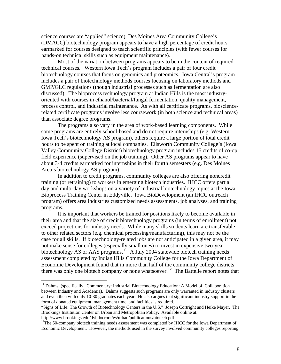science courses are "applied" science), Des Moines Area Community College's (DMACC) biotechnology program appears to have a high percentage of credit hours earmarked for courses designed to teach scientific principles (with fewer courses for hands-on technical skills such as equipment maintenance).

 Most of the variation between programs appears to be in the content of required technical courses. Western Iowa Tech's program includes a pair of four credit biotechnology courses that focus on genomics and proteomics. Iowa Central's program includes a pair of biotechnology methods courses focusing on laboratory methods and GMP/GLC regulations (though industrial processes such as fermentation are also discussed). The bioprocess technology program at Indian Hills is the most industryoriented with courses in ethanol/bacterial/fungal fermentation, quality management, process control, and industrial maintenance. As with all certificate programs, biosciencerelated certificate programs involve less coursework (in both science and technical areas) than associate degree programs.

 The programs also vary in the area of work-based learning components. While some programs are entirely school-based and do not require internships (e.g. Western Iowa Tech's biotechnology AS program), others require a large portion of total credit hours to be spent on training at local companies. Ellsworth Community College's (Iowa Valley Community College District) biotechnology program includes 15 credits of co-op field experience (supervised on the job training). Other AS programs appear to have about 3-4 credits earmarked for internships in their fourth semesters (e.g. Des Moines Area's biotechnology AS program).

 In addition to credit programs, community colleges are also offering noncredit training (or retraining) to workers in emerging biotech industries. IHCC offers partial day and multi-day workshops on a variety of industrial biotechnology topics at the Iowa Bioprocess Training Center in Eddyville. Iowa BioDevelopment (an IHCC outreach program) offers area industries customized needs assessments, job analyses, and training programs.

 It is important that workers be trained for positions likely to become available in their area and that the size of credit biotechnology programs (in terms of enrollment) not exceed projections for industry needs. While many skills students learn are transferable to other related sectors (e.g. chemical processing/manufacturing), this may not be the case for all skills. If biotechnology-related jobs are not anticipated in a given area, it may not make sense for colleges (especially small ones) to invest in expensive two-year biotechnology AS or AAS programs.<sup>[11](#page-7-0)</sup> A July 2004 statewide biotech training needs assessment completed by Indian Hills Community College for the Iowa Department of Economic Development found that in more than half of the community college districts there was only one biotech company or none whatsoever.<sup>[12](#page-7-1)</sup> The Battelle report notes that

 $\overline{a}$ 

<span id="page-7-0"></span><sup>&</sup>lt;sup>11</sup> Dahms. (specifically "Commentary: Industrial Biotechnology Education: A Model of Collaboration between Industry and Academia). Dahms suggests such programs are only warranted in industry clusters and even then with only 10-30 graduates each year. He also argues that significant industry support in the form of donated equipment, management time, and facilities is required.

<sup>&</sup>quot;Signs of Life: The Growth of Biotechnology Centers in the U.S." Joseph Cortright and Heike Mayer. The Brookings Institution Center on Urban and Metropolitan Policy. Available online at:

<span id="page-7-1"></span>http://www.brookings.edu/dybdocroot/es/urban/publications/biotech.pdf<br><sup>12</sup>The 50-company biotech training needs assessment was completed by IHCC for the Iowa Department of Economic Development. However, the methods used in the survey involved community colleges reporting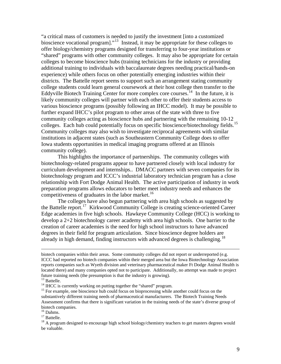"a critical mass of customers is needed to justify the investment [into a customized bioscience vocational program]."<sup>[13](#page-8-0)</sup> Instead, it may be appropriate for these colleges to offer biology/chemistry programs designed for transferring to four-year institutions or "shared" programs with other community colleges. It may also be appropriate for certain colleges to become bioscience hubs (training technicians for the industry or providing additional training to individuals with baccalaureate degrees needing practical/hands-on experience) while others focus on other potentially emerging industries within their districts. The Battelle report seems to support such an arrangement stating community college students could learn general coursework at their host college then transfer to the Eddyville Biotech Training Center for more complex core courses.<sup>[14](#page-8-1)</sup> In the future, it is likely community colleges will partner with each other to offer their students access to various bioscience programs (possibly following an IHCC model). It may be possible to further expand IHCC's pilot program to other areas of the state with three to five community colleges acting as bioscience hubs and partnering with the remaining 10-12 colleges. Each hub could potentially focus on specific bioscience/biotechnology fields.<sup>[15](#page-8-2)</sup> Community colleges may also wish to investigate reciprocal agreements with similar institutions in adjacent states (such as Southeastern Community College does to offer Iowa students opportunities in medical imaging programs offered at an Illinois community college).

 This highlights the importance of partnerships. The community colleges with biotechnology-related programs appear to have partnered closely with local industry for curriculum development and internships.. DMACC partners with seven companies for its biotechnology program and ICCC's industrial laboratory technician program has a close relationship with Fort Dodge Animal Health. The active participation of industry in work preparation programs allows educators to better meet industry needs and enhances the competitiveness of graduates in the labor market.<sup>[16](#page-8-3)</sup>

 The colleges have also begun partnering with area high schools as suggested by the Battelle report.[17](#page-8-4) Kirkwood Community College is creating science-oriented Career Edge academies in five high schools. Hawkeye Community College (HCC) is working to develop a 2+2 biotechnology career academy with area high schools. One barrier to the creation of career academies is the need for high school instructors to have advanced degrees in their field for program articulation. Since bioscience degree holders are already in high demand, finding instructors with advanced degrees is challenging.<sup>[18](#page-8-5)</sup>

biotech companies within their areas. Some community colleges did not report or underreported (e.g. ICCC had reported no biotech companies within their merged area but the Iowa Biotechnology Association reports companies such as Wyeth division and veterinary pharmaceutical maker Ft Dodge Animal Health is located there) and many companies opted not to participate. Additionally, no attempt was made to project future training needs (the presumption is that the industry is growing).

<span id="page-8-0"></span><sup>&</sup>lt;sup>13</sup> Battelle.

<span id="page-8-2"></span><span id="page-8-1"></span><sup>&</sup>lt;sup>14</sup> IHCC is currently working on putting together the "shared" program.<br><sup>15</sup> For example, one bioscience hub could focus on bioprocessing while another could focus on the substantively different training needs of pharmaceutical manufacturers. The Biotech Training Needs Assessment confirms that there is significant variation in the training needs of the state's diverse group of biotech companies.

<span id="page-8-4"></span><span id="page-8-3"></span> $16$  Dahms.

<sup>&</sup>lt;sup>17</sup> Battelle.

<span id="page-8-5"></span> $18$  A program designed to encourage high school biology/chemistry teachers to get masters degrees would be valuable.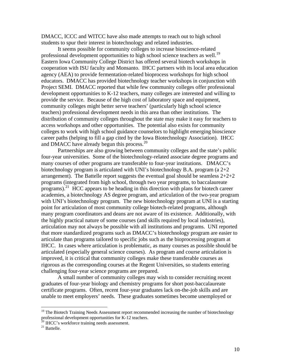DMACC, ICCC and WITCC have also made attempts to reach out to high school students to spur their interest in biotechnology and related industries.

It seems possible for community colleges to increase bioscience-related professional development opportunities to high school science teachers as well.<sup>[19](#page-9-0)</sup> Eastern Iowa Community College District has offered several biotech workshops in cooperation with ISU faculty and Monsanto. IHCC partners with its local area education agency (AEA) to provide fermentation-related bioprocess workshops for high school educators. DMACC has provided biotechnology teacher workshops in conjunction with Project SEMI. DMACC reported that while few community colleges offer professional development opportunities to K-12 teachers, many colleges are interested and willing to provide the service. Because of the high cost of laboratory space and equipment, community colleges might better serve teachers' (particularly high school science teachers) professional development needs in this area than other institutions. The distribution of community colleges throughout the state may make it easy for teachers to access workshops and other opportunities. The potential also exists for community colleges to work with high school guidance counselors to highlight emerging bioscience career paths (helping to fill a gap cited by the Iowa Biotechnology Association). IHCC and DMACC have already begun this process.<sup>[20](#page-9-1)</sup>

 Partnerships are also growing between community colleges and the state's public four-year universities. Some of the biotechnology-related associate degree programs and many courses of other programs are transferable to four-year institutions. DMACC's biotechnology program is articulated with UNI's biotechnology B.A. program (a 2+2 arrangement). The Battelle report suggests the eventual goal should be seamless 2+2+2 programs (integrated from high school, through two year programs, to baccalaureate programs).<sup>[21](#page-9-2)</sup> HCC appears to be heading in this direction with plans for biotech career academies, a biotechnology AS degree program, and articulation of the two-year program with UNI's biotechnology program. The new biotechnology program at UNI is a starting point for articulation of most community college biotech-related programs, although many program coordinators and deans are not aware of its existence. Additionally, with the highly practical nature of some courses (and skills required by local industries), articulation may not always be possible with all institutions and programs. UNI reported that more standardized programs such as DMACC's biotechnology program are easier to articulate than programs tailored to specific jobs such as the bioprocessing program at IHCC. In cases where articulation is problematic, as many courses as possible should be articulated (especially general science courses). As program and course articulation is improved, it is critical that community colleges make these transferable courses as rigorous as the corresponding courses at the Regent Universities, so students entering challenging four-year science programs are prepared.

 A small number of community colleges may wish to consider recruiting recent graduates of four-year biology and chemistry programs for short post-baccalaureate certificate programs. Often, recent four-year graduates lack on-the-job skills and are unable to meet employers' needs. These graduates sometimes become unemployed or

 $\overline{a}$ 

<span id="page-9-0"></span> $19$  The Biotech Training Needs Assessment report recommended increasing the number of biotechnology professional development opportunities for K-12 teachers.<br><sup>20</sup> IHCC's workforce training needs assessment.

<span id="page-9-2"></span><span id="page-9-1"></span><sup>&</sup>lt;sup>21</sup> Battelle.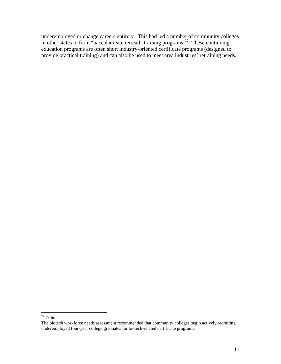underemployed or change careers entirely. This had led a number of community colleges in other states to form "baccalaureate retread" training programs.<sup>[22](#page-10-0)</sup> These continuing education programs are often short industry-oriented certificate programs (designed to provide practical training) and can also be used to meet area industries' retraining needs.

 $\overline{a}$ 

 $22$  Dahms.

<span id="page-10-0"></span>The biotech workforce needs assessment recommended that community colleges begin actively recruiting underemployed four-year college graduates for biotech-related certificate programs.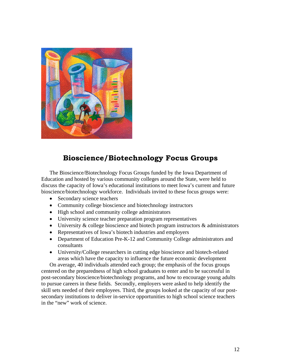

## **Bioscience/Biotechnology Focus Groups**

The Bioscience/Biotechnology Focus Groups funded by the Iowa Department of Education and hosted by various community colleges around the State, were held to discuss the capacity of Iowa's educational institutions to meet Iowa's current and future bioscience/biotechnology workforce. Individuals invited to these focus groups were:

- Secondary science teachers
- Community college bioscience and biotechnology instructors
- High school and community college administrators
- University science teacher preparation program representatives
- University & college bioscience and biotech program instructors & administrators
- Representatives of Iowa's biotech industries and employers
- Department of Education Pre-K-12 and Community College administrators and consultants
- University/College researchers in cutting edge bioscience and biotech-related areas which have the capacity to influence the future economic development

On average, 40 individuals attended each group; the emphasis of the focus groups centered on the preparedness of high school graduates to enter and to be successful in post-secondary bioscience/biotechnology programs, and how to encourage young adults to pursue careers in these fields. Secondly, employers were asked to help identify the skill sets needed of their employees. Third, the groups looked at the capacity of our postsecondary institutions to deliver in-service opportunities to high school science teachers in the "new" work of science.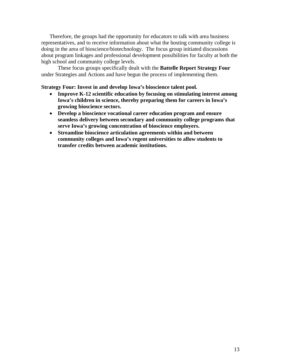Therefore, the groups had the opportunity for educators to talk with area business representatives, and to receive information about what the hosting community college is doing in the area of bioscience/biotechnology. The focus group initiated discussions about program linkages and professional development possibilities for faculty at both the high school and community college levels.

These focus groups specifically dealt with the **Battelle Report Strategy Four** under Strategies and Actions and have begun the process of implementing them.

#### **Strategy Four: Invest in and develop Iowa's bioscience talent pool.**

- **Improve K-12 scientific education by focusing on stimulating interest among Iowa's children in science, thereby preparing them for careers in Iowa's growing bioscience sectors.**
- **Develop a bioscience vocational career education program and ensure seamless delivery between secondary and community college programs that serve Iowa's growing concentration of bioscience employers.**
- **Streamline bioscience articulation agreements within and between community colleges and Iowa's regent universities to allow students to transfer credits between academic institutions.**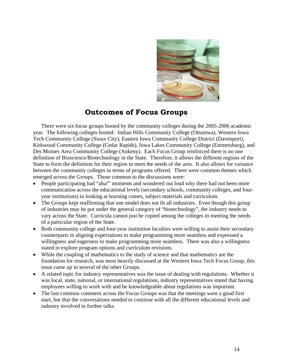

## **Outcomes of Focus Groups**

There were six focus groups hosted by the community colleges during the 2005-2006 academic year. The following colleges hosted: Indian Hills Community College (Ottumwa), Western Iowa Tech Community College (Sioux City), Eastern Iowa Community College District (Davenport), Kirkwood Community College (Cedar Rapids), Iowa Lakes Community College (Emmetsburg), and Des Moines Area Community College (Ankeny). Each Focus Group reinforced there is no one definition of Bioscience/Biotechnology in the State. Therefore, it allows the different regions of the State to form the definition for their region to meet the needs of the area. It also allows for variance between the community colleges in terms of programs offered. There were common themes which emerged across the Groups. Those common to the discussions were:

- People participating had "aha!" moments and wondered out loud why there had not been more communication across the educational levels (secondary schools, community colleges, and fouryear institutions) in looking at learning comes, subject materials and curriculum.
- The Groups kept reaffirming that one model does not fit all industries. Even though this group of industries may be put under the general category of "biotechnology", the industry needs to vary across the State. Curricula cannot just be copied among the colleges in meeting the needs of a particular region of the State.
- Both community college and four-year institution faculties were willing to assist their secondary counterparts in aligning expectations to make programming more seamless and expressed a willingness and eagerness to make programming more seamless. There was also a willingness stated to explore program options and curriculum revisions.
- While the coupling of mathematics to the study of science and that mathematics are the foundation for research, was most heavily discussed at the Western Iowa Tech Focus Group, this issue came up in several of the other Groups.
- A related topic for industry representatives was the issue of dealing with regulations. Whether it was local, state, national, or international regulations, industry representatives stated that having employees willing to work with and be knowledgeable about regulations was important.
- The last common comment across the Focus Groups was that the meetings were a good first start, but that the conversations needed to continue with all the different educational levels and industry involved in further talks.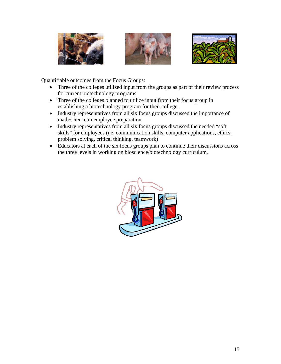





Quantifiable outcomes from the Focus Groups:

- Three of the colleges utilized input from the groups as part of their review process for current biotechnology programs
- Three of the colleges planned to utilize input from their focus group in establishing a biotechnology program for their college.
- Industry representatives from all six focus groups discussed the importance of math/science in employee preparation.
- Industry representatives from all six focus groups discussed the needed "soft" skills" for employees (i.e. communication skills, computer applications, ethics, problem solving, critical thinking, teamwork)
- Educators at each of the six focus groups plan to continue their discussions across the three levels in working on bioscience/biotechnology curriculum.

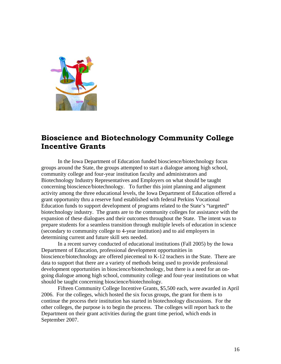

## **Bioscience and Biotechnology Community College Incentive Grants**

 In the Iowa Department of Education funded bioscience/biotechnology focus groups around the State, the groups attempted to start a dialogue among high school, community college and four-year institution faculty and administrators and Biotechnology Industry Representatives and Employers on what should be taught concerning bioscience/biotechnology. To further this joint planning and alignment activity among the three educational levels, the Iowa Department of Education offered a grant opportunity thru a reserve fund established with federal Perkins Vocational Education funds to support development of programs related to the State's "targeted" biotechnology industry. The grants are to the community colleges for assistance with the expansion of these dialogues and their outcomes throughout the State. The intent was to prepare students for a seamless transition through multiple levels of education in science (secondary to community college to 4-year institution) and to aid employers in determining current and future skill sets needed.

 In a recent survey conducted of educational institutions (Fall 2005) by the Iowa Department of Education, professional development opportunities in bioscience/biotechnology are offered piecemeal to K-12 teachers in the State. There are data to support that there are a variety of methods being used to provide professional development opportunities in bioscience/biotechnology, but there is a need for an ongoing dialogue among high school, community college and four-year institutions on what should be taught concerning bioscience/biotechnology.

 Fifteen Community College Incentive Grants, \$5,500 each, were awarded in April 2006. For the colleges, which hosted the six focus groups, the grant for them is to continue the process their institution has started in biotechnology discussions. For the other colleges, the purpose is to begin the process. The colleges will report back to the Department on their grant activities during the grant time period, which ends in September 2007.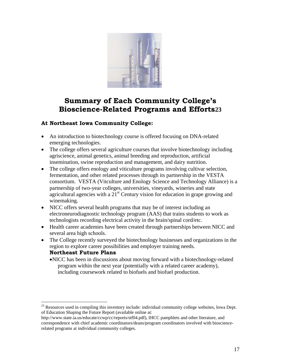

# **Summary of Each Community College's Bioscience-Related Programs and Efforts[23](#page-16-0)**

#### **At Northeast Iowa Community College:**

 $\overline{a}$ 

- An introduction to biotechnology course is offered focusing on DNA-related emerging technologies.
- The college offers several agriculture courses that involve biotechnology including agriscience, animal genetics, animal breeding and reproduction, artificial insemination, swine reproduction and management, and dairy nutrition.
- The college offers enology and viticulture programs involving cultivar selection, fermentation, and other related processes through its partnership in the VESTA consortium. VESTA (Vitculture and Enology Science and Technology Alliance) is a partnership of two-year colleges, universities, vineyards, wineries and state agricultural agencies with a  $21<sup>st</sup>$  Century vision for education in grape growing and winemaking.
- NICC offers several health programs that may be of interest including an electroneurodiagnostic technology program (AAS) that trains students to work as technologists recording electrical activity in the brain/spinal cord/etc.
- Health career academies have been created through partnerships between NICC and several area high schools.
- The College recently surveyed the biotechnology businesses and organizations in the region to explore career possibilities and employer training needs. **Northeast Future Plans** 
	- NICC has been in discussions about moving forward with a biotechnology-related program within the next year (potentially with a related career academy), including coursework related to biofuels and biofuel production.

<span id="page-16-0"></span> $^{23}$  Resources used in compiling this inventory include: individual community college websites, Iowa Dept. of Education Shaping the Future Report (available online at:

http://www.state.ia.us/educate/ccwp/cc/reports/stf04.pdf), IHCC pamphlets and other literature, and correspondence with chief academic coordinators/deans/program coordinators involved with biosciencerelated programs at individual community colleges.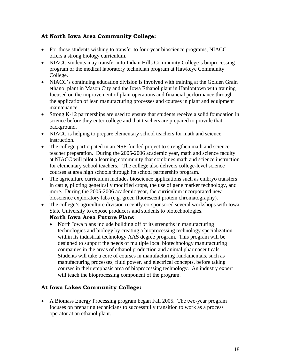#### **At North Iowa Area Community College:**

- For those students wishing to transfer to four-year bioscience programs, NIACC offers a strong biology curriculum.
- NIACC students may transfer into Indian Hills Community College's bioprocessing program or the medical laboratory technician program at Hawkeye Community College.
- NIACC's continuing education division is involved with training at the Golden Grain ethanol plant in Mason City and the Iowa Ethanol plant in Hanlontown with training focused on the improvement of plant operations and financial performance through the application of lean manufacturing processes and courses in plant and equipment maintenance.
- Strong K-12 partnerships are used to ensure that students receive a solid foundation in science before they enter college and that teachers are prepared to provide that background.
- NIACC is helping to prepare elementary school teachers for math and science instruction.
- The college participated in an NSF-funded project to strengthen math and science teacher preparation. During the 2005-2006 academic year, math and science faculty at NIACC will pilot a learning community that combines math and science instruction for elementary school teachers. The college also delivers college-level science courses at area high schools through its school partnership program.
- The agriculture curriculum includes bioscience applications such as embryo transfers in cattle, piloting genetically modified crops, the use of gene marker technology, and more. During the 2005-2006 academic year, the curriculum incorporated new bioscience exploratory labs (e.g. green fluorescent protein chromatography).
- The college's agriculture division recently co-sponsored several workshops with Iowa State University to expose producers and students to biotechnologies.

#### **North Iowa Area Future Plans**

• North Iowa plans include building off of its strengths in manufacturing technologies and biology by creating a bioprocessing technology specialization within its industrial technology AAS degree program. This program will be designed to support the needs of multiple local biotechnology manufacturing companies in the areas of ethanol production and animal pharmaceuticals. Students will take a core of courses in manufacturing fundamentals, such as manufacturing processes, fluid power, and electrical concepts, before taking courses in their emphasis area of bioprocessing technology. An industry expert will teach the bioprocessing component of the program.

### **At Iowa Lakes Community College:**

• A Biomass Energy Processing program began Fall 2005. The two-year program focuses on preparing technicians to successfully transition to work as a process operator at an ethanol plant.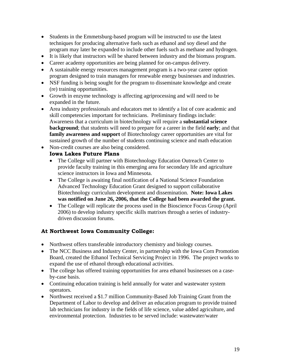- Students in the Emmetsburg-based program will be instructed to use the latest techniques for producing alternative fuels such as ethanol and soy diesel and the program may later be expanded to include other fuels such as methane and hydrogen.
- It is likely that instructors will be shared between industry and the biomass program.
- Career academy opportunities are being planned for on-campus delivery.
- A sustainable energy resources management program is a two-year career option program designed to train managers for renewable energy businesses and industries.
- NSF funding is being sought for the program to disseminate knowledge and create (re) training opportunities.
- Growth in enzyme technology is affecting agriprocessing and will need to be expanded in the future.
- Area industry professionals and educators met to identify a list of core academic and skill competencies important for technicians. Preliminary findings include: Awareness that a curriculum in biotechnology will require a **substantial science background**; that students will need to prepare for a career in the field **early**; and that **family awareness and support** of Biotechnology career opportunities are vital for sustained growth of the number of students continuing science and math education
- Non-credit courses are also being considered.

#### **Iowa Lakes Future Plans**

- The College will partner with Biotechnology Education Outreach Center to provide faculty training in this emerging area for secondary life and agriculture science instructors in Iowa and Minnesota.
- The College is awaiting final notification of a National Science Foundation Advanced Technology Education Grant designed to support collaborative Biotechnology curriculum development and dissemination. **Note: Iowa Lakes was notified on June 26, 2006, that the College had been awarded the grant.**
- The College will replicate the process used in the Bioscience Focus Group (April 2006) to develop industry specific skills matrixes through a series of industrydriven discussion forums.

### **At Northwest Iowa Community College:**

- Northwest offers transferable introductory chemistry and biology courses.
- The NCC Business and Industry Center, in partnership with the Iowa Corn Promotion Board, created the Ethanol Technical Servicing Project in 1996. The project works to expand the use of ethanol through educational activities.
- The college has offered training opportunities for area ethanol businesses on a caseby-case basis.
- Continuing education training is held annually for water and wastewater system operators.
- Northwest received a \$1.7 million Community-Based Job Training Grant from the Department of Labor to develop and deliver an education program to provide trained lab technicians for industry in the fields of life science, value added agriculture, and environmental protection. Industries to be served include: wastewater/water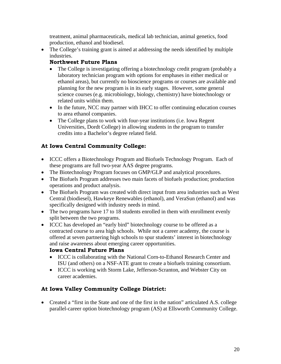treatment, animal pharmaceuticals, medical lab technician, animal genetics, food production, ethanol and biodiesel.

• The College's training grant is aimed at addressing the needs identified by multiple industries.

#### **Northwest Future Plans**

- The College is investigating offering a biotechnology credit program (probably a laboratory technician program with options for emphases in either medical or ethanol areas), but currently no bioscience programs or courses are available and planning for the new program is in its early stages. However, some general science courses (e.g. microbiology, biology, chemistry) have biotechnology or related units within them.
- In the future, NCC may partner with IHCC to offer continuing education courses to area ethanol companies.
- The College plans to work with four-year institutions (i.e. Iowa Regent Universities, Dordt College) in allowing students in the program to transfer credits into a Bachelor's degree related field.

#### **At Iowa Central Community College:**

- ICCC offers a Biotechnology Program and Biofuels Technology Program. Each of these programs are full two-year AAS degree programs.
- The Biotechnology Program focuses on GMP/GLP and analytical procedures.
- The Biofuels Program addresses two main facets of biofuels production; production operations and product analysis.
- The Biofuels Program was created with direct input from area industries such as West Central (biodiesel), Hawkeye Renewables (ethanol), and VeraSun (ethanol) and was specifically designed with industry needs in mind.
- The two programs have 17 to 18 students enrolled in them with enrollment evenly split between the two programs.
- ICCC has developed an "early bird" biotechnology course to be offered as a contracted course to area high schools. While not a career academy, the course is offered at seven partnering high schools to spur students' interest in biotechnology and raise awareness about emerging career opportunities.

### **Iowa Central Future Plans**

- ICCC is collaborating with the National Corn-to-Ethanol Research Center and ISU (and others) on a NSF-ATE grant to create a biofuels training consortium.
- ICCC is working with Storm Lake, Jefferson-Scranton, and Webster City on career academies.

#### **At Iowa Valley Community College District:**

• Created a "first in the State and one of the first in the nation" articulated A.S. college parallel-career option biotechnology program (AS) at Ellsworth Community College.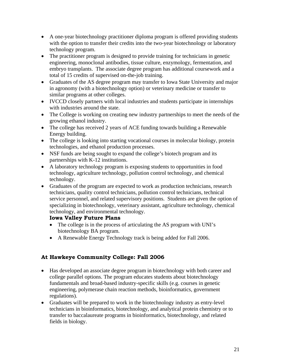- A one-year biotechnology practitioner diploma program is offered providing students with the option to transfer their credits into the two-year biotechnology or laboratory technology program.
- The practitioner program is designed to provide training for technicians in genetic engineering, monoclonal antibodies, tissue culture, enzymology, fermentation, and embryo transplants. The associate degree program has additional coursework and a total of 15 credits of supervised on-the-job training.
- Graduates of the AS degree program may transfer to Iowa State University and major in agronomy (with a biotechnology option) or veterinary medicine or transfer to similar programs at other colleges.
- IVCCD closely partners with local industries and students participate in internships with industries around the state.
- The College is working on creating new industry partnerships to meet the needs of the growing ethanol industry.
- The college has received 2 years of ACE funding towards building a Renewable Energy building.
- The college is looking into starting vocational courses in molecular biology, protein technologies, and ethanol production processes.
- NSF funds are being sought to expand the college's biotech program and its partnerships with K-12 institutions.
- A laboratory technology program is exposing students to opportunities in food technology, agriculture technology, pollution control technology, and chemical technology.
- Graduates of the program are expected to work as production technicians, research technicians, quality control technicians, pollution control technicians, technical service personnel, and related supervisory positions. Students are given the option of specializing in biotechnology, veterinary assistant, agriculture technology, chemical technology, and environmental technology.

### **Iowa Valley Future Plans**

- The college is in the process of articulating the AS program with UNI's biotechnology BA program.
- A Renewable Energy Technology track is being added for Fall 2006.

## **At Hawkeye Community College: Fall 2006**

- Has developed an associate degree program in biotechnology with both career and college parallel options. The program educates students about biotechnology fundamentals and broad-based industry-specific skills (e.g. courses in genetic engineering, polymerase chain reaction methods, bioinformatics, government regulations).
- Graduates will be prepared to work in the biotechnology industry as entry-level technicians in bioinformatics, biotechnology, and analytical protein chemistry or to transfer to baccalaureate programs in bioinformatics, biotechnology, and related fields in biology.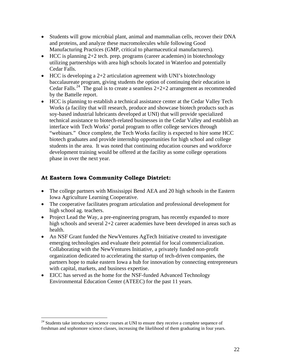- Students will grow microbial plant, animal and mammalian cells, recover their DNA and proteins, and analyze these macromolecules while following Good Manufacturing Practices (GMP, critical to pharmaceutical manufacturers).
- HCC is planning  $2+2$  tech. prep. programs (career academies) in biotechnology utilizing partnerships with area high schools located in Waterloo and potentially Cedar Falls.
- HCC is developing a 2+2 articulation agreement with UNI's biotechnology baccalaureate program, giving students the option of continuing their education in Cedar Falls.<sup>[24](#page-21-0)</sup> The goal is to create a seamless  $2+2+2$  arrangement as recommended by the Battelle report.
- HCC is planning to establish a technical assistance center at the Cedar Valley Tech Works (a facility that will research, produce and showcase biotech products such as soy-based industrial lubricants developed at UNI) that will provide specialized technical assistance to biotech-related businesses in the Cedar Valley and establish an interface with Tech Works' portal program to offer college services through "webinars." Once complete, the Tech Works facility is expected to hire some HCC biotech graduates and provide internship opportunities for high school and college students in the area. It was noted that continuing education courses and workforce development training would be offered at the facility as some college operations phase in over the next year.

#### **At Eastern Iowa Community College District:**

 $\overline{a}$ 

- The college partners with Mississippi Bend AEA and 20 high schools in the Eastern Iowa Agriculture Learning Cooperative.
- The cooperative facilitates program articulation and professional development for high school ag. teachers.
- Project Lead the Way, a pre-engineering program, has recently expanded to more high schools and several 2+2 career academies have been developed in areas such as health.
- An NSF Grant funded the NewVentures AgTech Initiative created to investigate emerging technologies and evaluate their potential for local commercialization. Collaborating with the NewVentures Initiative, a privately funded non-profit organization dedicated to accelerating the startup of tech-driven companies, the partners hope to make eastern Iowa a hub for innovation by connecting entrepreneurs with capital, markets, and business expertise.
- EICC has served as the home for the NSF-funded Advanced Technology Environmental Education Center (ATEEC) for the past 11 years.

<span id="page-21-0"></span> $24$  Students take introductory science courses at UNI to ensure they receive a complete sequence of freshman and sophomore science classes, increasing the likelihood of them graduating in four years.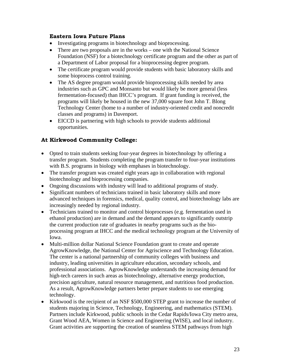#### **Eastern Iowa Future Plans**

- Investigating programs in biotechnology and bioprocessing.
- There are two proposals are in the works one with the National Science Foundation (NSF) for a biotechnology certificate program and the other as part of a Department of Labor proposal for a bioprocessing degree program.
- The certificate program would provide students with basic laboratory skills and some bioprocess control training.
- The AS degree program would provide bioprocessing skills needed by area industries such as GPC and Monsanto but would likely be more general (less fermentation-focused) than IHCC's program. If grant funding is received, the programs will likely be housed in the new 37,000 square foot John T. Blong Technology Center (home to a number of industry-oriented credit and noncredit classes and programs) in Davenport.
- EICCD is partnering with high schools to provide students additional opportunities.

## **At Kirkwood Community College:**

- Opted to train students seeking four-year degrees in biotechnology by offering a transfer program. Students completing the program transfer to four-year institutions with B.S. programs in biology with emphases in biotechnology.
- The transfer program was created eight years ago in collaboration with regional biotechnology and bioprocessing companies.
- Ongoing discussions with industry will lead to additional programs of study.
- Significant numbers of technicians trained in basic laboratory skills and more advanced techniques in forensics, medical, quality control, and biotechnology labs are increasingly needed by regional industry.
- Technicians trained to monitor and control bioprocesses (e.g. fermentation used in ethanol production) are in demand and the demand appears to significantly outstrip the current production rate of graduates in nearby programs such as the bioprocessing program at IHCC and the medical technology program at the University of Iowa.
- Multi-million dollar National Science Foundation grant to create and operate AgrowKnowledge, the National Center for Agriscience and Technology Education. The center is a national partnership of community colleges with business and industry, leading universities in agriculture education, secondary schools, and professional associations. AgrowKnowledge understands the increasing demand for high-tech careers in such areas as biotechnology, alternative energy production, precision agriculture, natural resource management, and nutritious food production. As a result, AgrowKnowledge partners better prepare students to use emerging technology.
- Kirkwood is the recipient of an NSF \$500,000 STEP grant to increase the number of students majoring in Science, Technology, Engineering, and mathematics (STEM). Partners include Kirkwood, public schools in the Cedar Rapids/Iowa City metro area, Grant Wood AEA, Women in Science and Engineering (WISE), and local industry. Grant activities are supporting the creation of seamless STEM pathways from high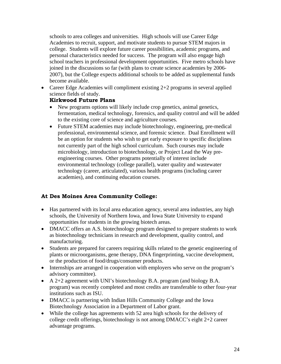schools to area colleges and universities. High schools will use Career Edge Academies to recruit, support, and motivate students to pursue STEM majors in college. Students will explore future career possibilities, academic programs, and personal characteristics needed for success. The program will also engage high school teachers in professional development opportunities. Five metro schools have joined in the discussions so far (with plans to create science academies by 2006- 2007), but the College expects additional schools to be added as supplemental funds become available.

• Career Edge Academies will compliment existing 2+2 programs in several applied science fields of study.

#### **Kirkwood Future Plans**

- New programs options will likely include crop genetics, animal genetics, fermentation, medical technology, forensics, and quality control and will be added to the existing core of science and agriculture courses.
- Future STEM academies may include biotechnology, engineering, pre-medical professional, environmental science, and forensic science. Dual Enrollment will be an option for students who wish to get early exposure to specific disciplines not currently part of the high school curriculum. Such courses may include microbiology, introduction to biotechnology, or Project Lead the Way preengineering courses. Other programs potentially of interest include environmental technology (college parallel), water quality and wastewater technology (career, articulated), various health programs (including career academies), and continuing education courses.

### **At Des Moines Area Community College:**

- Has partnered with its local area education agency, several area industries, any high schools, the University of Northern Iowa, and Iowa State University to expand opportunities for students in the growing biotech areas.
- DMACC offers an A.S. biotechnology program designed to prepare students to work as biotechnology technicians in research and development, quality control, and manufacturing.
- Students are prepared for careers requiring skills related to the genetic engineering of plants or microorganisms, gene therapy, DNA fingerprinting, vaccine development, or the production of food/drugs/consumer products.
- Internships are arranged in cooperation with employers who serve on the program's advisory committee).
- A 2+2 agreement with UNI's biotechnology B.A. program (and biology B.A. program) was recently completed and most credits are transferable to other four-year institutions such as ISU.
- DMACC is partnering with Indian Hills Community College and the Iowa Biotechnology Association in a Department of Labor grant.
- While the college has agreements with 52 area high schools for the delivery of college credit offerings, biotechnology is not among DMACC's eight 2+2 career advantage programs.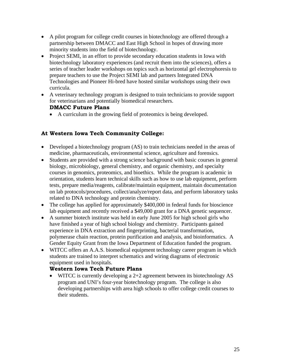- A pilot program for college credit courses in biotechnology are offered through a partnership between DMACC and East High School in hopes of drawing more minority students into the field of biotechnology.
- Project SEMI, in an effort to provide secondary education students in Iowa with biotechnology laboratory experiences (and recruit them into the sciences), offers a series of teacher leader workshops on topics such as horizontal gel electrophoresis to prepare teachers to use the Project SEMI lab and partners Integrated DNA Technologies and Pioneer Hi-bred have hosted similar workshops using their own curricula.
- A veterinary technology program is designed to train technicians to provide support for veterinarians and potentially biomedical researchers.

#### **DMACC Future Plans**

• A curriculum in the growing field of proteomics is being developed.

#### **At Western Iowa Tech Community College:**

- Developed a biotechnology program (AS) to train technicians needed in the areas of medicine, pharmaceuticals, environmental science, agriculture and forensics.
- Students are provided with a strong science background with basic courses in general biology, microbiology, general chemistry, and organic chemistry, and specialty courses in genomics, proteomics, and bioethics. While the program is academic in orientation, students learn technical skills such as how to use lab equipment, perform tests, prepare media/reagents, calibrate/maintain equipment, maintain documentation on lab protocols/procedures, collect/analyze/report data, and perform laboratory tasks related to DNA technology and protein chemistry.
- The college has applied for approximately \$400,000 in federal funds for bioscience lab equipment and recently received a \$49,000 grant for a DNA genetic sequencer.
- A summer biotech institute was held in early June 2005 for high school girls who have finished a year of high school biology and chemistry. Participants gained experience in DNA extraction and fingerprinting, bacterial transformation, polymerase chain reaction, protein purification and analysis, and bioinformatics. A Gender Equity Grant from the Iowa Department of Education funded the program.
- WITCC offers an A.A.S. biomedical equipment technology career program in which students are trained to interpret schematics and wiring diagrams of electronic equipment used in hospitals.

#### **Western Iowa Tech Future Plans**

• WITCC is currently developing a 2+2 agreement between its biotechnology AS program and UNI's four-year biotechnology program. The college is also developing partnerships with area high schools to offer college credit courses to their students.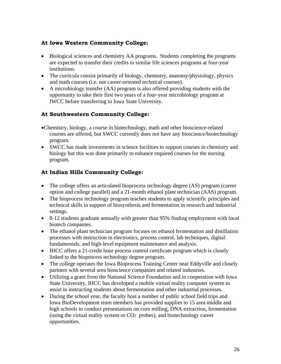#### **At Iowa Western Community College:**

- Biological sciences and chemistry AA programs. Students completing the programs are expected to transfer their credits to similar life sciences programs at four-year institutions.
- The curricula consist primarily of biology, chemistry, anatomy/physiology, physics and math courses (i.e. not career-oriented technical courses).
- A microbiology transfer (AA) program is also offered providing students with the opportunity to take their first two years of a four-year microbiology program at IWCC before transferring to Iowa State University.

#### **At Southwestern Community College:**

- Chemistry, biology, a course in biotechnology, math and other bioscience-related courses are offered, but SWCC currently does not have any bioscience/biotechnology program.
- SWCC has made investments in science facilities to support courses in chemistry and biology but this was done primarily to enhance required courses for the nursing program.

### **At Indian Hills Community College:**

- The college offers an articulated bioprocess technology degree (AS) program (career option and college parallel) and a 21-month ethanol plant technician (AAS) program.
- The bioprocess technology program teaches students to apply scientific principles and technical skills in support of biosynthesis and fermentation in research and industrial settings.
- 8-12 students graduate annually with greater than 95% finding employment with local biotech companies.
- The ethanol plant technician program focuses on ethanol fermentation and distillation processes with instruction in electronics, process control, lab techniques, digital fundamentals, and high-level equipment maintenance and analysis.
- IHCC offers a 21-credit hour process control certificate program which is closely linked to the bioprocess technology degree program.
- The college operates the Iowa Bioprocess Training Center near Eddyville and closely partners with several area bioscience companies and related industries.
- Utilizing a grant from the National Science Foundation and in cooperation with Iowa State University, IHCC has developed a mobile virtual reality computer system to assist in instructing students about fermentation and other industrial processes.
- During the school year, the faculty host a number of public school field trips and Iowa BioDevelopment team members has provided supplies to 15 area middle and high schools to conduct presentations on corn milling, DNA extraction, fermentation (using the virtual reality system or  $CO<sub>2</sub>$  probes), and biotechnology career opportunities.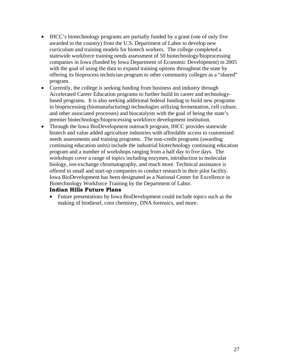- IHCC's biotechnology programs are partially funded by a grant (one of only five awarded in the country) from the U.S. Department of Labor to develop new curriculum and training models for biotech workers. The college completed a statewide workforce training needs assessment of 50 biotechnology/bioprocessing companies in Iowa (funded by Iowa Department of Economic Development) in 2005 with the goal of using the data to expand training options throughout the state by offering its bioprocess technician program to other community colleges as a "shared" program.
- Currently, the college is seeking funding from business and industry through Accelerated Career Education programs to further build its career and technologybased programs. It is also seeking additional federal funding to build new programs in bioprocessing (biomanufacturing) technologies utilizing fermentation, cell culture, and other associated processes) and biocatalysts with the goal of being the state's premier biotechnology/bioprocessing workforce development institution.
- Through the Iowa BioDevelopment outreach program, IHCC provides statewide biotech and value added agriculture industries with affordable access to customized needs assessments and training programs. The non-credit programs (awarding continuing education units) include the industrial biotechnology continuing education program and a number of workshops ranging from a half day to five days. The workshops cover a range of topics including enzymes, introduction to molecular biology, ion-exchange chromatography, and much more. Technical assistance is offered to small and start-up companies to conduct research in their pilot facility. Iowa BioDevelopment has been designated as a National Center for Excellence in Biotechnology Workforce Training by the Department of Labor.

#### **Indian Hills Future Plans**

• Future presentations by Iowa BioDevelopment could include topics such as the making of biodiesel, corn chemistry, DNA forensics, and more.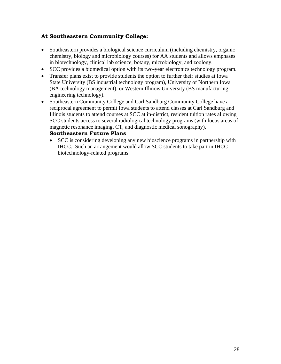#### **At Southeastern Community College:**

- Southeastern provides a biological science curriculum (including chemistry, organic chemistry, biology and microbiology courses) for AA students and allows emphases in biotechnology, clinical lab science, botany, microbiology, and zoology.
- SCC provides a biomedical option with its two-year electronics technology program.
- Transfer plans exist to provide students the option to further their studies at Iowa State University (BS industrial technology program), University of Northern Iowa (BA technology management), or Western Illinois University (BS manufacturing engineering technology).
- Southeastern Community College and Carl Sandburg Community College have a reciprocal agreement to permit Iowa students to attend classes at Carl Sandburg and Illinois students to attend courses at SCC at in-district, resident tuition rates allowing SCC students access to several radiological technology programs (with focus areas of magnetic resonance imaging, CT, and diagnostic medical sonography).

#### **Southeastern Future Plans**

• SCC is considering developing any new bioscience programs in partnership with IHCC. Such an arrangement would allow SCC students to take part in IHCC biotechnology-related programs.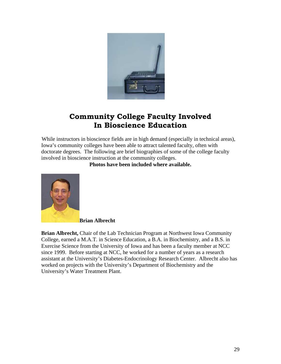

# **Community College Faculty Involved In Bioscience Education**

 While instructors in bioscience fields are in high demand (especially in technical areas), Iowa's community colleges have been able to attract talented faculty, often with doctorate degrees. The following are brief biographies of some of the college faculty involved in bioscience instruction at the community colleges.

**Photos have been included where available.** 



 **Brian Albrecht** 

**Brian Albrecht,** Chair of the Lab Technician Program at Northwest Iowa Community College, earned a M.A.T. in Science Education, a B.A. in Biochemistry, and a B.S. in Exercise Science from the University of Iowa and has been a faculty member at NCC since 1999. Before starting at NCC, he worked for a number of years as a research assistant at the University's Diabetes-Endocrinology Research Center. Albrecht also has worked on projects with the University's Department of Biochemistry and the University's Water Treatment Plant.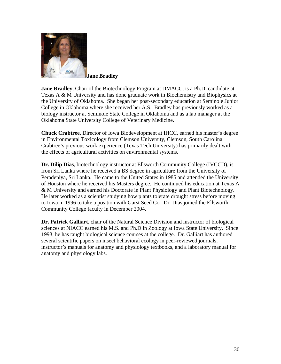

 **Jane Bradley** 

**Jane Bradley**, Chair of the Biotechnology Program at DMACC, is a Ph.D. candidate at Texas A & M University and has done graduate work in Biochemistry and Biophysics at the University of Oklahoma. She began her post-secondary education at Seminole Junior College in Oklahoma where she received her A.S. Bradley has previously worked as a biology instructor at Seminole State College in Oklahoma and as a lab manager at the Oklahoma State University College of Veterinary Medicine.

**Chuck Crabtree**, Director of Iowa Biodevelopment at IHCC, earned his master's degree in Environmental Toxicology from Clemson University, Clemson, South Carolina. Crabtree's previous work experience (Texas Tech University) has primarily dealt with the effects of agricultural activities on environmental systems.

**Dr. Dilip Dias**, biotechnology instructor at Ellsworth Community College (IVCCD), is from Sri Lanka where he received a BS degree in agriculture from the University of Peradeniya, Sri Lanka. He came to the United States in 1985 and attended the University of Houston where he received his Masters degree. He continued his education at Texas A & M University and earned his Doctorate in Plant Physiology and Plant Biotechnology. He later worked as a scientist studying how plants tolerate drought stress before moving to Iowa in 1996 to take a position with Garst Seed Co. Dr. Dias joined the Ellsworth Community College faculty in December 2004.

**Dr. Patrick Galliart**, chair of the Natural Science Division and instructor of biological sciences at NIACC earned his M.S. and Ph.D in Zoology at Iowa State University. Since 1993, he has taught biological science courses at the college. Dr. Galliart has authored several scientific papers on insect behavioral ecology in peer-reviewed journals, instructor's manuals for anatomy and physiology textbooks, and a laboratory manual for anatomy and physiology labs.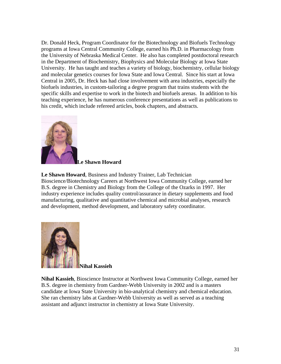Dr. Donald Heck, Program Coordinator for the Biotechnology and Biofuels Technology programs at Iowa Central Community College, earned his Ph.D. in Pharmacology from the University of Nebraska Medical Center. He also has completed postdoctoral research in the Department of Biochemistry, Biophysics and Molecular Biology at Iowa State University. He has taught and teaches a variety of biology, biochemistry, cellular biology and molecular genetics courses for Iowa State and Iowa Central. Since his start at Iowa Central in 2005, Dr. Heck has had close involvement with area industries, especially the biofuels industries, in custom-tailoring a degree program that trains students with the specific skills and expertise to work in the biotech and biofuels arenas. In addition to his teaching experience, he has numerous conference presentations as well as publications to his credit, which include refereed articles, book chapters, and abstracts.



 **Le Shawn Howard** 

**Le Shawn Howard**, Business and Industry Trainer, Lab Technician Bioscience/Biotechnology Careers at Northwest Iowa Community College, earned her B.S. degree in Chemistry and Biology from the College of the Ozarks in 1997. Her industry experience includes quality control/assurance in dietary supplements and food manufacturing, qualitative and quantitative chemical and microbial analyses, research and development, method development, and laboratory safety coordinator.



**Nihal Kassieh**

**Nihal Kassieh**, Bioscience Instructor at Northwest Iowa Community College, earned her B.S. degree in chemistry from Gardner-Webb University in 2002 and is a masters candidate at Iowa State University in bio-analytical chemistry and chemical education. She ran chemistry labs at Gardner-Webb University as well as served as a teaching assistant and adjunct instructor in chemistry at Iowa State University.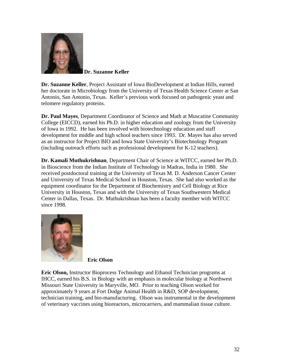

 **Dr. Suzanne Keller**

**Dr. Suzanne Keller**, Project Assistant of Iowa BioDevelopment at Indian Hills, earned her doctorate in Microbiology from the University of Texas Health Science Center at San Antonio, San Antonio, Texas. Keller's previous work focused on pathogenic yeast and telomere regulatory proteins.

**Dr. Paul Mayes**, Department Coordinator of Science and Math at Muscatine Community College (EICCD), earned his Ph.D. in higher education and zoology from the University of Iowa in 1992. He has been involved with biotechnology education and staff development for middle and high school teachers since 1993. Dr. Mayes has also served as an instructor for Project BIO and Iowa State University's Biotechnology Program (including outreach efforts such as professional development for K-12 teachers).

**Dr. Kamali Muthukrishnan**, Department Chair of Science at WITCC, earned her Ph.D. in Bioscience from the Indian Institute of Technology in Madras, India in 1980. She received postdoctoral training at the University of Texas M. D. Anderson Cancer Center and University of Texas Medical School in Houston, Texas. She had also worked as the equipment coordinator for the Department of Biochemistry and Cell Biology at Rice University in Houston, Texas and with the University of Texas Southwestern Medical Center in Dallas, Texas. Dr. Muthukrishnan has been a faculty member with WITCC since 1998.



**Eric Olson** 

**Eric Olson,** Instructor Bioprocess Technology and Ethanol Technician programs at IHCC, earned his B.S. in Biology with an emphasis in molecular biology at Northwest Missouri State University in Maryville, MO. Prior to teaching Olson worked for approximately 9 years at Fort Dodge Animal Health in R&D, SOP development, technician training, and bio-manufacturing. Olson was instrumental in the development of veterinary vaccines using bioreactors, microcarriers, and mammalian tissue culture.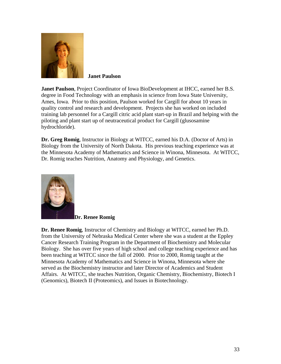

**Janet Paulson**

**Janet Paulson**, Project Coordinator of Iowa BioDevelopment at IHCC, earned her B.S. degree in Food Technology with an emphasis in science from Iowa State University, Ames, Iowa. Prior to this position, Paulson worked for Cargill for about 10 years in quality control and research and development. Projects she has worked on included training lab personnel for a Cargill citric acid plant start-up in Brazil and helping with the piloting and plant start up of neutraceutical product for Cargill (glusosamine hydrochloride).

**Dr. Greg Romig**, Instructor in Biology at WITCC, earned his D.A. (Doctor of Arts) in Biology from the University of North Dakota. His previous teaching experience was at the Minnesota Academy of Mathematics and Science in Winona, Minnesota. At WITCC, Dr. Romig teaches Nutrition, Anatomy and Physiology, and Genetics.



**Dr. Renee Romig**

**Dr. Renee Romig**, Instructor of Chemistry and Biology at WITCC, earned her Ph.D. from the University of Nebraska Medical Center where she was a student at the Eppley Cancer Research Training Program in the Department of Biochemistry and Molecular Biology. She has over five years of high school and college teaching experience and has been teaching at WITCC since the fall of 2000. Prior to 2000, Romig taught at the Minnesota Academy of Mathematics and Science in Winona, Minnesota where she served as the Biochemistry instructor and later Director of Academics and Student Affairs. At WITCC, she teaches Nutrition, Organic Chemistry, Biochemistry, Biotech I (Genomics), Biotech II (Proteomics), and Issues in Biotechnology.